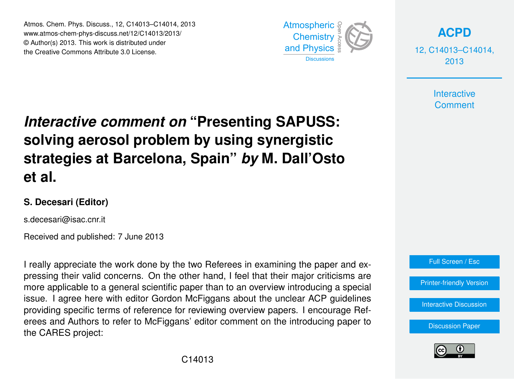Atmos. Chem. Phys. Discuss., 12, C14013–C14014, 2013 Atmospheric www.atmos-chem-phys-discuss.net/12/C14013/2013/<br>@ Author(a) 2012, This work is distributed under © Author(s) 2013. This work is distributed under the Creative Commons Attribute 3.0 License.  $\overline{1}$ 



**[ACPD](http://www.atmos-chem-phys-discuss.net)**

12, C14013–C14014, 2013

> **Interactive Comment**

## **Interactive comment on "Presenting SAPUSS:** o<br>I  $\ddot{\phantom{0}}$ solving aerosol problem by using synergistic Open Access  $\overline{\phantom{a}}$ Climate **strategies at Barcelona, Spain"** *by* **M. Dall'Osto et al.**

## **S. Decesari (Editor)**

s.decesari@isac.cnr.it

Received and published: 7 June 2013

I really appreciate the work done by the two Referees in examining the paper and expressing their valid concerns. On the other hand, I feel that their major criticisms are .<br>more applicable to a general scientific paper than to an overview introducing a special tv<br>h r<br>is issue. I agree here with editor Gordon McFiggans about the unclear ACP guidelines providing specific terms of reference for reviewing overview papers. I encourage Referees and Authors to refer to McFiggans' editor comment on the introducing paper to re<br>, n<br>P the CARES project:



[Interactive Discussion](http://www.atmos-chem-phys-discuss.net/12/18741/2012/acpd-12-18741-2012-discussion.html)

[Discussion Paper](http://www.atmos-chem-phys-discuss.net/12/18741/2012/acpd-12-18741-2012.pdf)